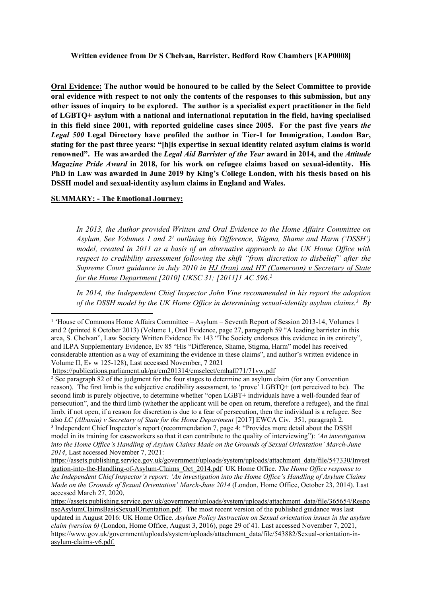**Oral Evidence: The author would be honoured to be called by the Select Committee to provide oral evidence with respect to not only the contents of the responses to this submission, but any other issues of inquiry to be explored. The author is a specialist expert practitioner in the field of LGBTQ+ asylum with a national and international reputation in the field, having specialised in this field since 2001, with reported guideline cases since 2005. For the past five years** *the Legal 500* **Legal Directory have profiled the author in Tier-1 for Immigration, London Bar, stating for the past three years: "[h]is expertise in sexual identity related asylum claims is world renowned". He was awarded the** *Legal Aid Barrister of the Year* **award in 2014, and the** *Attitude Magazine Pride Award* **in 2018, for his work on refugee claims based on sexual-identity. His PhD in Law was awarded in June 2019 by King's College London, with his thesis based on his DSSH model and sexual-identity asylum claims in England and Wales.**

### **SUMMARY: - The Emotional Journey:**

*In 2013, the Author provided Written and Oral Evidence to the Home Affairs Committee on Asylum, See Volumes 1 and 2 <sup>1</sup> outlining his Difference, Stigma, Shame and Harm ('DSSH') model, created in 2011 as a basis of an alternative approach to the UK Home Office with respect to credibility assessment following the shift "from discretion to disbelief" after the Supreme Court guidance in July 2010 in HJ (Iran) and HT (Cameroon) v Secretary of State for the Home Department [2010] UKSC 31; [2011]1 AC 596.<sup>2</sup>* 

*In 2014, the Independent Chief Inspector John Vine recommended in his report the adoption of the DSSH model by the UK Home Office in determining sexual-identity asylum claims.<sup>3</sup> By*

<sup>2</sup> See paragraph 82 of the judgment for the four stages to determine an asylum claim (for any Convention reason). The first limb is the subjective credibility assessment, to 'prove' LGBTQ+ (ort perceived to be). The second limb is purely objective, to determine whether "open LGBT+ individuals have a well-founded fear of persecution", and the third limb (whether the applicant will be open on return, therefore a refugee), and the final limb, if not open, if a reason for discretion is due to a fear of persecution, then the individual is a refugee. See also *LC (Albania) v Secretary of State for the Home Department* [2017] EWCA Civ. 351, paragraph 2. 3 Independent Chief Inspector's report (recommendation 7, page 4: "Provides more detail about the DSSH model in its training for caseworkers so that it can contribute to the quality of interviewing"): *'An investigation into the Home Office's Handling of Asylum Claims Made on the Grounds of Sexual Orientation' March-June 2014*, Last accessed November 7, 2021:

<sup>&</sup>lt;sup>1</sup> 'House of Commons Home Affairs Committee – Asylum – Seventh Report of Session 2013-14, Volumes 1 and 2 (printed 8 October 2013) (Volume 1, Oral Evidence, page 27, paragraph 59 "A leading barrister in this area, S. Chelvan", Law Society Written Evidence Ev 143 "The Society endorses this evidence in its entirety", and ILPA Supplementary Evidence, Ev 85 "His "Difference, Shame, Stigma, Harm" model has received considerable attention as a way of examining the evidence in these claims", and author's written evidence in Volume II, Ev w 125-128), Last accessed November, 7 2021

<https://publications.parliament.uk/pa/cm201314/cmselect/cmhaff/71/71vw.pdf>

[https://assets.publishing.service.gov.uk/government/uploads/system/uploads/attachment\\_data/file/547330/Invest](https://assets.publishing.service.gov.uk/government/uploads/system/uploads/attachment_data/file/547330/Investigation-into-the-Handling-of-Asylum-Claims_Oct_2014.pdf) [igation-into-the-Handling-of-Asylum-Claims\\_Oct\\_2014.pdf](https://assets.publishing.service.gov.uk/government/uploads/system/uploads/attachment_data/file/547330/Investigation-into-the-Handling-of-Asylum-Claims_Oct_2014.pdf) UK Home Office. *The Home Office response to the Independent Chief Inspector's report: 'An investigation into the Home Office's Handling of Asylum Claims Made on the Grounds of Sexual Orientation' March-June 2014* (London, Home Office, October 23, 2014). Last accessed March 27, 2020,

[https://assets.publishing.service.gov.uk/government/uploads/system/uploads/attachment\\_data/file/365654/Respo](https://assets.publishing.service.gov.uk/government/uploads/system/uploads/attachment_data/file/365654/ResponseAsylumClaimsBasisSexualOrientation.pdf) [nseAsylumClaimsBasisSexualOrientation.pdf.](https://assets.publishing.service.gov.uk/government/uploads/system/uploads/attachment_data/file/365654/ResponseAsylumClaimsBasisSexualOrientation.pdf) The most recent version of the published guidance was last updated in August 2016: UK Home Office. *Asylum Policy Instruction on Sexual orientation issues in the asylum claim (version 6)* (London, Home Office, August 3, 2016), page 29 of 41. Last accessed November 7, 2021, [https://www.gov.uk/government/uploads/system/uploads/attachment\\_data/file/543882/Sexual-orientation-in](https://www.gov.uk/government/uploads/system/uploads/attachment_data/file/543882/Sexual-orientation-in-asylum-claims-v6.pdf)[asylum-claims-v6.pdf](https://www.gov.uk/government/uploads/system/uploads/attachment_data/file/543882/Sexual-orientation-in-asylum-claims-v6.pdf).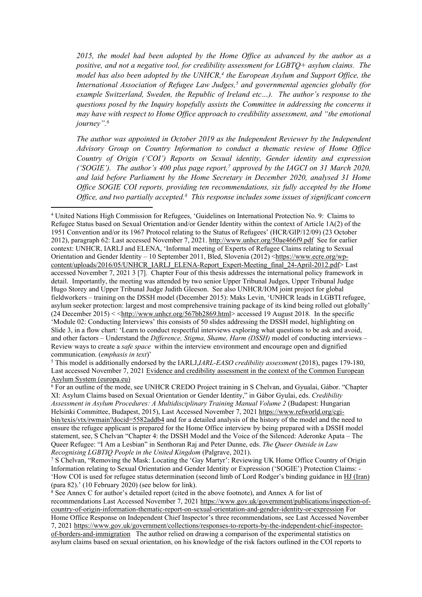*2015, the model had been adopted by the Home Office as advanced by the author as a positive, and not a negative tool, for credibility assessment for LGBTQ+ asylum claims. The model has also been adopted by the UNHCR,<sup>4</sup> the European Asylum and Support Office, the International Association of Refugee Law Judges,<sup>5</sup> and governmental agencies globally (for example Switzerland, Sweden, the Republic of Ireland etc…). The author's response to the questions posed by the Inquiry hopefully assists the Committee in addressing the concerns it may have with respect to Home Office approach to credibility assessment, and "the emotional journey".<sup>6</sup>*

*The author was appointed in October 2019 as the Independent Reviewer by the Independent Advisory Group on Country Information to conduct a thematic review of Home Office Country of Origin ('COI') Reports on Sexual identity, Gender identity and expression ('SOGIE'). The author's 400 plus page report,<sup>7</sup> approved by the IAGCI on 31 March 2020, and laid before Parliament by the Home Secretary in December 2020, analysed 31 Home Office SOGIE COI reports, providing ten recommendations, six fully accepted by the Home Office, and two partially accepted.<sup>8</sup> This response includes some issues of significant concern*

<sup>5</sup> This model is additionally endorsed by the IARLJ,*IARL-EASO credibility assessment* (2018), pages 179-180, Last accessed November 7, 2021 [Evidence](https://www.easo.europa.eu/sites/default/files/eca-ceas-cj_en.pdf) [and](https://www.easo.europa.eu/sites/default/files/eca-ceas-cj_en.pdf) [credibility](https://www.easo.europa.eu/sites/default/files/eca-ceas-cj_en.pdf) [assessment](https://www.easo.europa.eu/sites/default/files/eca-ceas-cj_en.pdf) [in](https://www.easo.europa.eu/sites/default/files/eca-ceas-cj_en.pdf) [the](https://www.easo.europa.eu/sites/default/files/eca-ceas-cj_en.pdf) [context](https://www.easo.europa.eu/sites/default/files/eca-ceas-cj_en.pdf) [of](https://www.easo.europa.eu/sites/default/files/eca-ceas-cj_en.pdf) [the](https://www.easo.europa.eu/sites/default/files/eca-ceas-cj_en.pdf) [Common](https://www.easo.europa.eu/sites/default/files/eca-ceas-cj_en.pdf) [European](https://www.easo.europa.eu/sites/default/files/eca-ceas-cj_en.pdf) [Asylum](https://www.easo.europa.eu/sites/default/files/eca-ceas-cj_en.pdf) [System](https://www.easo.europa.eu/sites/default/files/eca-ceas-cj_en.pdf) [\(europa.eu\)](https://www.easo.europa.eu/sites/default/files/eca-ceas-cj_en.pdf)

<sup>6</sup> For an outline of the mode, see UNHCR CREDO Project training in S Chelvan, and Gyualai, Gábor. "Chapter XI: Asylum Claims based on Sexual Orientation or Gender Identity," in Gábor Gyulai, eds. *Credibility Assessment in Asylum Procedures: A Multidisciplinary Training Manual Volume 2* (Budapest: Hungarian Helsinki Committee, Budapest, 2015), Last Accessed November 7, 2021 [https://www.refworld.org/cgi](https://www.refworld.org/cgi-bin/texis/vtx/rwmain?docid=5582addb4)[bin/texis/vtx/rwmain?docid=5582addb4](https://www.refworld.org/cgi-bin/texis/vtx/rwmain?docid=5582addb4) and for a detailed analysis of the history of the model and the need to ensure the refugee applicant is prepared for the Home Office interview by being prepared with a DSSH model statement, see, S Chelvan "Chapter 4: the DSSH Model and the Voice of the Silenced: Aderonke Apata – The Queer Refugee: "I Am a Lesbian" in Senthoran Raj and Peter Dunne, eds. *The Queer Outside in Law Recognising LGBTIQ People in the United Kingdom* (Palgrave, 2021).

<sup>7</sup> S Chelvan, "Removing the Mask: Locating the 'Gay Martyr': Reviewing UK Home Office Country of Origin Information relating to Sexual Orientation and Gender Identity or Expression ('SOGIE') Protection Claims: - 'How COI is used for refugee status determination (second limb of Lord Rodger's binding guidance in HJ (Iran) (para 82).' (10 February 2020) (see below for link).

<sup>8</sup> See Annex C for author's detailed report (cited in the above footnote), and Annex A for list of recommendations Last Accessed November 7, 2021 [https://www.gov.uk/government/publications/inspection-of](https://www.gov.uk/government/publications/inspection-of-country-of-origin-information-thematic-report-on-sexual-orientation-and-gender-identity-or-expression)[country-of-origin-information-thematic-report-on-sexual-orientation-and-gender-identity-or-expression](https://www.gov.uk/government/publications/inspection-of-country-of-origin-information-thematic-report-on-sexual-orientation-and-gender-identity-or-expression) For Home Office Response on Independent Chief Inspector's three recommendations, see Last Accessed November 7, 2021 [https://www.gov.uk/government/collections/responses-to-reports-by-the-independent-chief-inspector](https://www.gov.uk/government/collections/responses-to-reports-by-the-independent-chief-inspector-of-borders-and-immigration)[of-borders-and-immigration](https://www.gov.uk/government/collections/responses-to-reports-by-the-independent-chief-inspector-of-borders-and-immigration) The author relied on drawing a comparison of the experimental statistics on asylum claims based on sexual orientation, on his knowledge of the risk factors outlined in the COI reports to

<sup>4</sup> United Nations High Commission for Refugees, 'Guidelines on International Protection No. 9: Claims to Refugee Status based on Sexual Orientation and/or Gender Identity within the context of Article 1A(2) of the 1951 Convention and/or its 1967 Protocol relating to the Status of Refugees' (HCR/GIP/12/09) (23 October 2012), paragraph 62: Last accessed November 7, 2021. <http://www.unhcr.org/50ae466f9.pdf> See for earlier context: UNHCR, IARLJ and ELENA, 'Informal meeting of Experts of Refugee Claims relating to Sexual Orientation and Gender Identity – 10 September 2011, Bled, Slovenia (2012) <[https://www.ecre.org/wp](https://www.ecre.org/wp-content/uploads/2016/05/UNHCR_IARLJ_ELENA-Report_Expert-Meeting_final_24-April-2012.pdf)[content/uploads/2016/05/UNHCR\\_IARLJ\\_ELENA-Report\\_Expert-Meeting\\_final\\_24-April-2012.pdf](https://www.ecre.org/wp-content/uploads/2016/05/UNHCR_IARLJ_ELENA-Report_Expert-Meeting_final_24-April-2012.pdf)> Last accessed November 7, 2021 3 [7]. Chapter Four of this thesis addresses the international policy framework in detail. Importantly, the meeting was attended by two senior Upper Tribunal Judges, Upper Tribunal Judge Hugo Storey and Upper Tribunal Judge Judith Gleeson. See also UNHCR/IOM joint project for global fieldworkers – training on the DSSH model (December 2015): Maks Levin, 'UNHCR leads in LGBTI refugee, asylum seeker protection: largest and most comprehensive training package of its kind being rolled out globally'  $(24$  December 2015) < <<http://www.unhcr.org/567bb2869.html>> accessed 19 August 2018. In the specific 'Module 02: Conducting Interviews' this consists of 50 slides addressing the DSSH model, highlighting on Slide 3, in a flow chart: 'Learn to conduct respectful interviews exploring what questions to be ask and avoid, and other factors – Understand the *Difference, Stigma, Shame, Harm (DSSH)* model of conducting interviews – Review ways to create a *safe space* within the interview environment and encourage open and dignified communication. (*emphasis in text*)'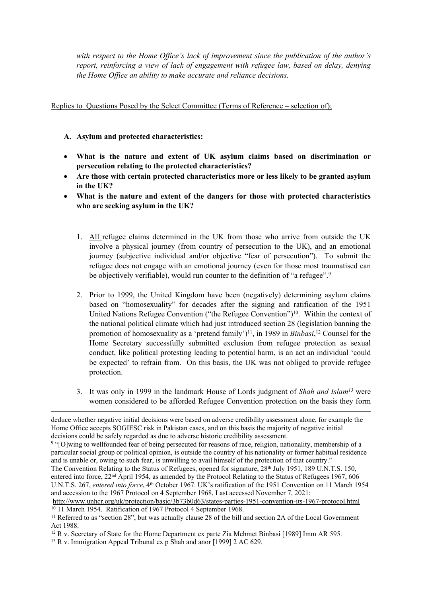*with respect to the Home Office's lack of improvement since the publication of the author's report, reinforcing a view of lack of engagement with refugee law, based on delay, denying the Home Office an ability to make accurate and reliance decisions.*

# Replies to Questions Posed by the Select Committee (Terms of Reference – selection of);

### **A. Asylum and protected characteristics:**

- **What is the nature and extent of UK asylum claims based on discrimination or persecution relating to the protected characteristics?**
- **Are those with certain protected characteristics more or less likely to be granted asylum in the UK?**
- **What is the nature and extent of the dangers for those with protected characteristics who are seeking asylum in the UK?**
	- 1. All refugee claims determined in the UK from those who arrive from outside the UK involve a physical journey (from country of persecution to the UK), and an emotional journey (subjective individual and/or objective "fear of persecution"). To submit the refugee does not engage with an emotional journey (even for those most traumatised can be objectively verifiable), would run counter to the definition of "a refugee".<sup>9</sup>
	- 2. Prior to 1999, the United Kingdom have been (negatively) determining asylum claims based on "homosexuality" for decades after the signing and ratification of the 1951 United Nations Refugee Convention ("the Refugee Convention")<sup>10</sup>. Within the context of the national political climate which had just introduced section 28 (legislation banning the promotion of homosexuality as a 'pretend family')<sup>11</sup>, in 1989 in *Binbasi*,<sup>12</sup> Counsel for the Home Secretary successfully submitted exclusion from refugee protection as sexual conduct, like political protesting leading to potential harm, is an act an individual 'could be expected' to refrain from. On this basis, the UK was not obliged to provide refugee protection.
	- 3. It was only in 1999 in the landmark House of Lords judgment of *Shah and Islam<sup>13</sup>* were women considered to be afforded Refugee Convention protection on the basis they form

The Convention Relating to the Status of Refugees, opened for signature, 28<sup>th</sup> July 1951, 189 U.N.T.S. 150, entered into force, 22nd April 1954, as amended by the Protocol Relating to the Status of Refugees 1967, 606 U.N.T.S. 267, *entered into force*, 4 th October 1967. UK's ratification of the 1951 Convention on 11 March 1954 and accession to the 1967 Protocol on 4 September 1968, Last accessed November 7, 2021:

deduce whether negative initial decisions were based on adverse credibility assessment alone, for example the Home Office accepts SOGIESC risk in Pakistan cases, and on this basis the majority of negative initial decisions could be safely regarded as due to adverse historic credibility assessment.

<sup>9</sup> "[O]wing to wellfounded fear of being persecuted for reasons of race, religion, nationality, membership of a particular social group or political opinion, is outside the country of his nationality or former habitual residence and is unable or, owing to such fear, is unwilling to avail himself of the protection of that country."

<http://www.unhcr.org/uk/protection/basic/3b73b0d63/states-parties-1951-convention-its-1967-protocol.html> <sup>10</sup> 11 March 1954. Ratification of 1967 Protocol 4 September 1968.

<sup>11</sup> Referred to as "section 28", but was actually clause 28 of the bill and section 2A of the Local Government Act 1988.

<sup>&</sup>lt;sup>12</sup> R v. Secretary of State for the Home Department ex parte Zia Mehmet Binbasi [1989] Imm AR 595.

<sup>13</sup> R v. Immigration Appeal Tribunal ex p Shah and anor [1999] 2 AC 629.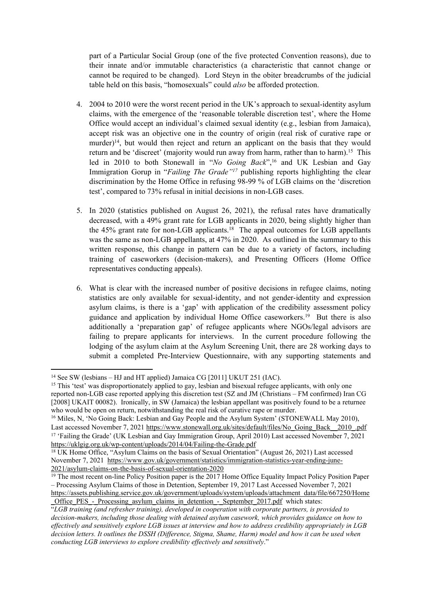part of a Particular Social Group (one of the five protected Convention reasons), due to their innate and/or immutable characteristics (a characteristic that cannot change or cannot be required to be changed). Lord Steyn in the obiter breadcrumbs of the judicial table held on this basis, "homosexuals" could *also* be afforded protection.

- 4. 2004 to 2010 were the worst recent period in the UK's approach to sexual-identity asylum claims, with the emergence of the 'reasonable tolerable discretion test', where the Home Office would accept an individual's claimed sexual identity (e.g., lesbian from Jamaica), accept risk was an objective one in the country of origin (real risk of curative rape or murder)<sup>14</sup>, but would then reject and return an applicant on the basis that they would return and be 'discreet' (majority would run away from harm, rather than to harm).<sup>15</sup> This led in 2010 to both Stonewall in "*No Going Back*",<sup>16</sup> and UK Lesbian and Gay Immigration Gorup in "*Failing The Grade"<sup>17</sup>* publishing reports highlighting the clear discrimination by the Home Office in refusing 98-99 % of LGB claims on the 'discretion test', compared to 73% refusal in initial decisions in non-LGB cases.
- 5. In 2020 (statistics published on August 26, 2021), the refusal rates have dramatically decreased, with a 49% grant rate for LGB applicants in 2020, being slightly higher than the  $45\%$  grant rate for non-LGB applicants.<sup>18</sup> The appeal outcomes for LGB appellants was the same as non-LGB appellants, at 47% in 2020. As outlined in the summary to this written response, this change in pattern can be due to a variety of factors, including training of caseworkers (decision-makers), and Presenting Officers (Home Office representatives conducting appeals).
- 6. What is clear with the increased number of positive decisions in refugee claims, noting statistics are only available for sexual-identity, and not gender-identity and expression asylum claims, is there is a 'gap' with application of the credibility assessment policy guidance and application by individual Home Office caseworkers.<sup>19</sup> But there is also additionally a 'preparation gap' of refugee applicants where NGOs/legal advisors are failing to prepare applicants for interviews. In the current procedure following the lodging of the asylum claim at the Asylum Screening Unit, there are 28 working days to submit a completed Pre-Interview Questionnaire, with any supporting statements and

<sup>14</sup> See SW (lesbians – HJ and HT applied) Jamaica CG [2011] UKUT 251 (IAC).

<sup>15</sup> This 'test' was disproportionately applied to gay, lesbian and bisexual refugee applicants, with only one reported non-LGB case reported applying this discretion test (SZ and JM (Christians – FM confirmed) Iran CG [2008] UKAIT 00082). Ironically, in SW (Jamaica) the lesbian appellant was positively found to be a returnee who would be open on return, notwithstanding the real risk of curative rape or murder.

<sup>&</sup>lt;sup>16</sup> Miles, N, 'No Going Back: Lesbian and Gay People and the Asylum System' (STONEWALL May 2010), Last accessed November 7, 2021 [https://www.stonewall.org.uk/sites/default/files/No\\_Going\\_Back\\_\\_2010\\_.pdf](https://www.stonewall.org.uk/sites/default/files/No_Going_Back__2010_.pdf) <sup>17</sup> 'Failing the Grade' (UK Lesbian and Gay Immigration Group, April 2010) Last accessed November 7, 2021 <https://uklgig.org.uk/wp-content/uploads/2014/04/Failing-the-Grade.pdf>

<sup>18</sup> UK Home Office, "Asylum Claims on the basis of Sexual Orientation" (August 26, 2021) Last accessed November 7, 2021 [https://www.gov.uk/government/statistics/immigration-statistics-year-ending-june-](https://www.gov.uk/government/statistics/immigration-statistics-year-ending-june-2021/asylum-claims-on-the-basis-of-sexual-orientation-2020)[2021/asylum-claims-on-the-basis-of-sexual-orientation-2020](https://www.gov.uk/government/statistics/immigration-statistics-year-ending-june-2021/asylum-claims-on-the-basis-of-sexual-orientation-2020)

 $19$  The most recent on-line Policy Position paper is the 2017 Home Office Equality Impact Policy Position Paper – Processing Asylum Claims of those in Detention, September 19, 2017 Last Accessed November 7, 2021 [https://assets.publishing.service.gov.uk/government/uploads/system/uploads/attachment\\_data/file/667250/Home](https://assets.publishing.service.gov.uk/government/uploads/system/uploads/attachment_data/file/667250/Home_Office_PES_-_Processing_asylum_claims_in_detention_-_September_2017.pdf) Office  $PES$  - Processing asylum claims in detention - September 2017.pdf which states:

<sup>&</sup>quot;*LGB training (and refresher training), developed in cooperation with corporate partners, is provided to decision-makers, including those dealing with detained asylum casework, which provides guidance on how to effectively and sensitively explore LGB issues at interview and how to address credibility appropriately in LGB* decision letters. It outlines the DSSH (Difference, Stigma, Shame, Harm) model and how it can be used when *conducting LGB interviews to explore credibility effectively and sensitively*."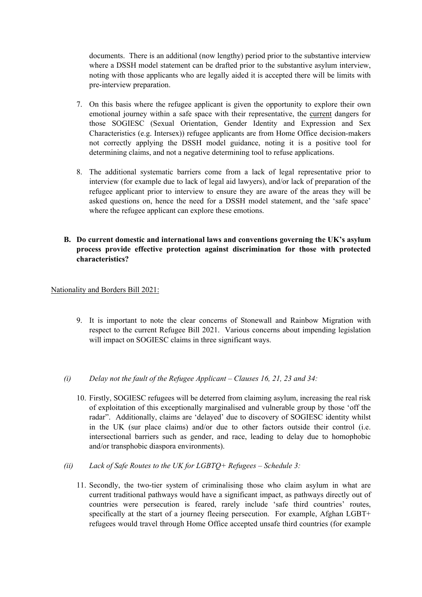documents. There is an additional (now lengthy) period prior to the substantive interview where a DSSH model statement can be drafted prior to the substantive asylum interview, noting with those applicants who are legally aided it is accepted there will be limits with pre-interview preparation.

- 7. On this basis where the refugee applicant is given the opportunity to explore their own emotional journey within a safe space with their representative, the current dangers for those SOGIESC (Sexual Orientation, Gender Identity and Expression and Sex Characteristics (e.g. Intersex)) refugee applicants are from Home Office decision-makers not correctly applying the DSSH model guidance, noting it is a positive tool for determining claims, and not a negative determining tool to refuse applications.
- 8. The additional systematic barriers come from a lack of legal representative prior to interview (for example due to lack of legal aid lawyers), and/or lack of preparation of the refugee applicant prior to interview to ensure they are aware of the areas they will be asked questions on, hence the need for a DSSH model statement, and the 'safe space' where the refugee applicant can explore these emotions.
- **B. Do current domestic and international laws and conventions governing the UK's asylum process provide effective protection against discrimination for those with protected characteristics?**

### Nationality and Borders Bill 2021:

9. It is important to note the clear concerns of Stonewall and Rainbow Migration with respect to the current Refugee Bill 2021. Various concerns about impending legislation will impact on SOGIESC claims in three significant ways.

#### *(i) Delay not the fault of the Refugee Applicant – Clauses 16, 21, 23 and 34:*

- 10. Firstly, SOGIESC refugees will be deterred from claiming asylum, increasing the real risk of exploitation of this exceptionally marginalised and vulnerable group by those 'off the radar". Additionally, claims are 'delayed' due to discovery of SOGIESC identity whilst in the UK (sur place claims) and/or due to other factors outside their control (i.e. intersectional barriers such as gender, and race, leading to delay due to homophobic and/or transphobic diaspora environments).
- *(ii) Lack of Safe Routes to the UK for LGBTQ+ Refugees – Schedule 3:*
	- 11. Secondly, the two-tier system of criminalising those who claim asylum in what are current traditional pathways would have a significant impact, as pathways directly out of countries were persecution is feared, rarely include 'safe third countries' routes, specifically at the start of a journey fleeing persecution. For example, Afghan LGBT+ refugees would travel through Home Office accepted unsafe third countries (for example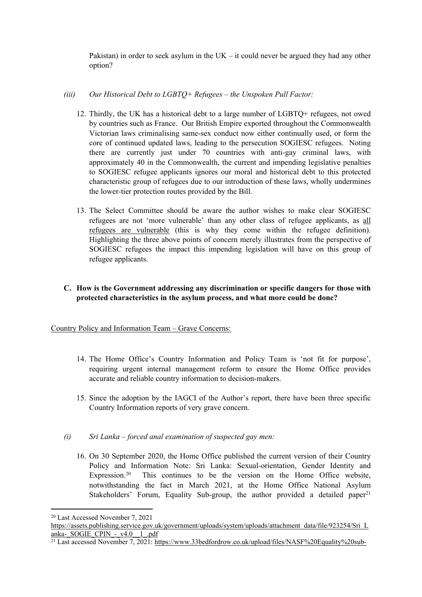Pakistan) in order to seek asylum in the  $UK - it$  could never be argued they had any other option?

### *(iii) Our Historical Debt to LGBTQ+ Refugees – the Unspoken Pull Factor:*

- 12. Thirdly, the UK has a historical debt to a large number of LGBTQ+ refugees, not owed by countries such as France. Our British Empire exported throughout the Commonwealth Victorian laws criminalising same-sex conduct now either continually used, or form the core of continued updated laws, leading to the persecution SOGIESC refugees. Noting there are currently just under 70 countries with anti-gay criminal laws, with approximately 40 in the Commonwealth, the current and impending legislative penalties to SOGIESC refugee applicants ignores our moral and historical debt to this protected characteristic group of refugees due to our introduction of these laws, wholly undermines the lower-tier protection routes provided by the Bill.
- 13. The Select Committee should be aware the author wishes to make clear SOGIESC refugees are not 'more vulnerable' than any other class of refugee applicants, as all refugees are vulnerable (this is why they come within the refugee definition). Highlighting the three above points of concern merely illustrates from the perspective of SOGIESC refugees the impact this impending legislation will have on this group of refugee applicants.

# **C. How is the Government addressing any discrimination or specific dangers for those with protected characteristics in the asylum process, and what more could be done?**

Country Policy and Information Team – Grave Concerns:

- 14. The Home Office's Country Information and Policy Team is 'not fit for purpose', requiring urgent internal management reform to ensure the Home Office provides accurate and reliable country information to decision-makers.
- 15. Since the adoption by the IAGCI of the Author's report, there have been three specific Country Information reports of very grave concern.
- *(i) Sri Lanka – forced anal examination of suspected gay men:*
	- 16. On 30 September 2020, the Home Office published the current version of their Country Policy and Information Note: Sri Lanka: Sexual-orientation, Gender Identity and Expression.<sup>20</sup> This continues to be the version on the Home Office website, notwithstanding the fact in March 2021, at the Home Office National Asylum Stakeholders' Forum, Equality Sub-group, the author provided a detailed paper<sup>21</sup>

<sup>20</sup> Last Accessed November 7, 2021

[https://assets.publishing.service.gov.uk/government/uploads/system/uploads/attachment\\_data/file/923254/Sri\\_L](https://assets.publishing.service.gov.uk/government/uploads/system/uploads/attachment_data/file/923254/Sri_Lanka-_SOGIE_CPIN_-_v4.0__1_.pdf) [anka-\\_SOGIE\\_CPIN\\_-\\_v4.0\\_\\_1\\_.pdf](https://assets.publishing.service.gov.uk/government/uploads/system/uploads/attachment_data/file/923254/Sri_Lanka-_SOGIE_CPIN_-_v4.0__1_.pdf)

<sup>&</sup>lt;sup>21</sup> Last accessed November 7, 2021: [https://www.33bedfordrow.co.uk/upload/files/NASF%20Equality%20sub-](https://www.33bedfordrow.co.uk/upload/files/NASF%20Equality%20sub-group%20paper%20-%20IAGCI%20SOGIE%20Thematic%20Review-%20%20-%203%20March%202021%20for%209%20March%202021%20meeting%20to%20be%20circulated%202.pdf)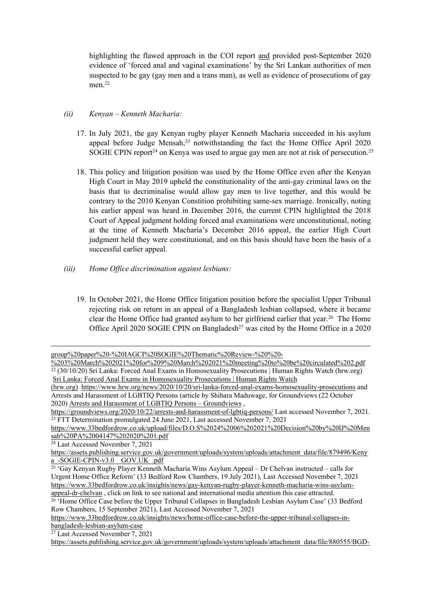highlighting the flawed approach in the COI report and provided post-September 2020 evidence of 'forced anal and vaginal examinations' by the Sri Lankan authorities of men suspected to be gay (gay men and a trans man), as well as evidence of prosecutions of gay men<sup>22</sup>

# *(ii) Kenyan – Kenneth Macharia:*

- 17. In July 2021, the gay Kenyan rugby player Kenneth Macharia succeeded in his asylum appeal before Judge Mensah,<sup>23</sup> notwithstanding the fact the Home Office April 2020 SOGIE CPIN report<sup>24</sup> on Kenya was used to argue gay men are not at risk of persecution.<sup>25</sup>
- 18. This policy and litigation position was used by the Home Office even after the Kenyan High Court in May 2019 upheld the constitutionality of the anti-gay criminal laws on the basis that to decriminalise would allow gay men to live together, and this would be contrary to the 2010 Kenyan Constition prohibiting same-sex marriage. Ironically, noting his earlier appeal was heard in December 2016, the current CPIN highlighted the 2018 Court of Appeal judgment holding forced anal examinations were unconstitutional, noting at the time of Kenneth Macharia's December 2016 appeal, the earlier High Court judgment held they were constitutional, and on this basis should have been the basis of a successful earlier appeal.
- *(iii) Home Office discrimination against lesbians:*
	- 19. In October 2021, the Home Office litigation position before the specialist Upper Tribunal rejecting risk on return in an appeal of a Bangladesh lesbian collapsed, where it became clear the Home Office had granted asylum to her girlfriend earlier that year.<sup>26</sup> The Home Office April 2020 SOGIE CPIN on Bangladesh<sup>27</sup> was cited by the Home Office in a 2020

[group%20paper%20-%20IAGCI%20SOGIE%20Thematic%20Review-%20%20-](https://www.33bedfordrow.co.uk/upload/files/NASF%20Equality%20sub-group%20paper%20-%20IAGCI%20SOGIE%20Thematic%20Review-%20%20-%203%20March%202021%20for%209%20March%202021%20meeting%20to%20be%20circulated%202.pdf)

[<sup>%203%20</sup>March%202021%20for%209%20March%202021%20meeting%20to%20be%20circulated%202.pdf](https://www.33bedfordrow.co.uk/upload/files/NASF%20Equality%20sub-group%20paper%20-%20IAGCI%20SOGIE%20Thematic%20Review-%20%20-%203%20March%202021%20for%209%20March%202021%20meeting%20to%20be%20circulated%202.pdf)  $22$  (30/10/20) Sri Lanka: Forced Anal Exams in Homosexuality Prosecutions | Human Rights Watch (hrw.org) [Sri](https://www.hrw.org/news/2020/10/20/sri-lanka-forced-anal-exams-homosexuality-prosecutions) [Lanka:](https://www.hrw.org/news/2020/10/20/sri-lanka-forced-anal-exams-homosexuality-prosecutions) [Forced](https://www.hrw.org/news/2020/10/20/sri-lanka-forced-anal-exams-homosexuality-prosecutions) [Anal](https://www.hrw.org/news/2020/10/20/sri-lanka-forced-anal-exams-homosexuality-prosecutions) [Exams](https://www.hrw.org/news/2020/10/20/sri-lanka-forced-anal-exams-homosexuality-prosecutions) [in](https://www.hrw.org/news/2020/10/20/sri-lanka-forced-anal-exams-homosexuality-prosecutions) [Homosexuality](https://www.hrw.org/news/2020/10/20/sri-lanka-forced-anal-exams-homosexuality-prosecutions) [Prosecutions](https://www.hrw.org/news/2020/10/20/sri-lanka-forced-anal-exams-homosexuality-prosecutions) [|](https://www.hrw.org/news/2020/10/20/sri-lanka-forced-anal-exams-homosexuality-prosecutions) [Human](https://www.hrw.org/news/2020/10/20/sri-lanka-forced-anal-exams-homosexuality-prosecutions) [Rights](https://www.hrw.org/news/2020/10/20/sri-lanka-forced-anal-exams-homosexuality-prosecutions) [Watch](https://www.hrw.org/news/2020/10/20/sri-lanka-forced-anal-exams-homosexuality-prosecutions)

[<sup>\(</sup>hrw.org\)](https://www.hrw.org/news/2020/10/20/sri-lanka-forced-anal-exams-homosexuality-prosecutions) <https://www.hrw.org/news/2020/10/20/sri-lanka-forced-anal-exams-homosexuality-prosecutions> and Arrests and Harassment of LGBTIQ Persons (article by Shihara Maduwage, for Groundviews (22 October 2020) [Arrests](https://groundviews.org/2020/10/22/arrests-and-harassment-of-lgbtiq-persons/) [and](https://groundviews.org/2020/10/22/arrests-and-harassment-of-lgbtiq-persons/) [Harassment](https://groundviews.org/2020/10/22/arrests-and-harassment-of-lgbtiq-persons/) [of](https://groundviews.org/2020/10/22/arrests-and-harassment-of-lgbtiq-persons/) [LGBTIQ](https://groundviews.org/2020/10/22/arrests-and-harassment-of-lgbtiq-persons/) [Persons](https://groundviews.org/2020/10/22/arrests-and-harassment-of-lgbtiq-persons/) [–](https://groundviews.org/2020/10/22/arrests-and-harassment-of-lgbtiq-persons/) [Groundviews](https://groundviews.org/2020/10/22/arrests-and-harassment-of-lgbtiq-persons/) ,

<https://groundviews.org/2020/10/22/arrests-and-harassment-of-lgbtiq-persons/> Last accessed November 7, 2021. <sup>23</sup> FTT Determination promulgated 24 June 2021, Last accessed November 7, 2021

[https://www.33bedfordrow.co.uk/upload/files/D.O.S%2024%2006%202021%20Decision%20by%20IJ%20Men](https://www.33bedfordrow.co.uk/upload/files/D.O.S%2024%2006%202021%20Decision%20by%20IJ%20Mensah%20PA%2004147%202020%201.pdf) [sah%20PA%2004147%202020%201.pdf](https://www.33bedfordrow.co.uk/upload/files/D.O.S%2024%2006%202021%20Decision%20by%20IJ%20Mensah%20PA%2004147%202020%201.pdf)

<sup>24</sup> Last Accessed November 7, 2021

[https://assets.publishing.service.gov.uk/government/uploads/system/uploads/attachment\\_data/file/879496/Keny](https://assets.publishing.service.gov.uk/government/uploads/system/uploads/attachment_data/file/879496/Kenya_-SOGIE-CPIN-v3.0__GOV.UK_.pdf) a\_-SOGIE-CPIN-v3.0\_GOV.UK\_pdf

<sup>25</sup> 'Gay Kenyan Rugby Player Kenneth Macharia Wins Asylum Appeal – Dr Chelvan instructed – calls for Urgent Home Office Reform' (33 Bedford Row Chambers, 19 July 2021), Last Accessed November 7, 2021 [https://www.33bedfordrow.co.uk/insights/news/gay-kenyan-rugby-player-kenneth-macharia-wins-asylum](https://www.33bedfordrow.co.uk/insights/news/gay-kenyan-rugby-player-kenneth-macharia-wins-asylum-appeal-dr-chelvan)[appeal-dr-chelvan](https://www.33bedfordrow.co.uk/insights/news/gay-kenyan-rugby-player-kenneth-macharia-wins-asylum-appeal-dr-chelvan) , click on link to see national and international media attention this case attracted.

<sup>&</sup>lt;sup>26</sup> 'Home Office Case before the Upper Tribunal Collapses in Bangladesh Lesbian Asylum Case' (33 Bedford Row Chambers, 15 September 2021), Last Accessed November 7, 2021

[https://www.33bedfordrow.co.uk/insights/news/home-office-case-before-the-upper-tribunal-collapses-in](https://www.33bedfordrow.co.uk/insights/news/home-office-case-before-the-upper-tribunal-collapses-in-bangladesh-lesbian-asylum-case)[bangladesh-lesbian-asylum-case](https://www.33bedfordrow.co.uk/insights/news/home-office-case-before-the-upper-tribunal-collapses-in-bangladesh-lesbian-asylum-case)

<sup>27</sup> Last Accessed November 7, 2021

[https://assets.publishing.service.gov.uk/government/uploads/system/uploads/attachment\\_data/file/880555/BGD-](https://assets.publishing.service.gov.uk/government/uploads/system/uploads/attachment_data/file/880555/BGD-SOGIE-CPIN-v4.0__April_2020_.pdf)